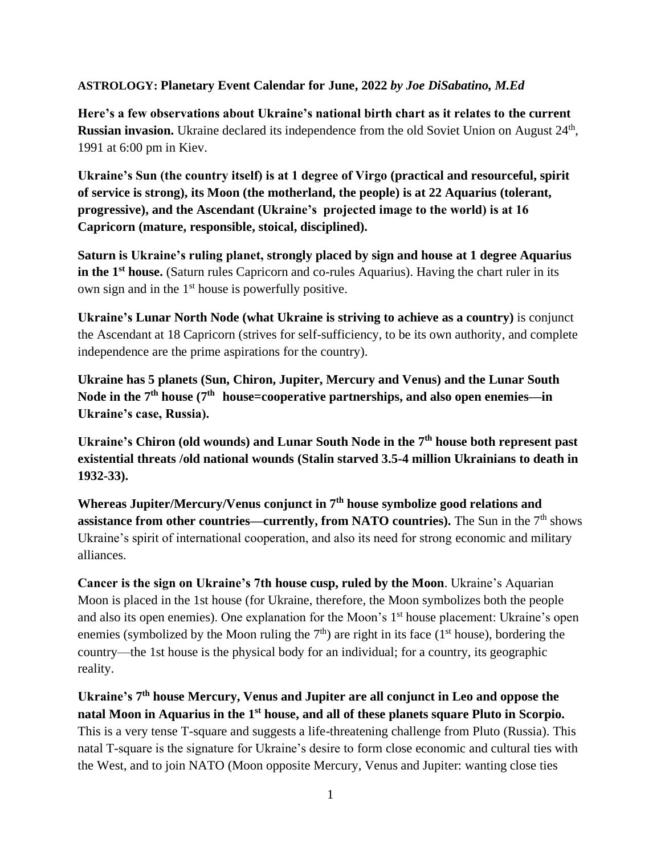## **ASTROLOGY: Planetary Event Calendar for June, 2022** *by Joe DiSabatino, M.Ed*

**Here's a few observations about Ukraine's national birth chart as it relates to the current**  Russian invasion. Ukraine declared its independence from the old Soviet Union on August 24<sup>th</sup>, 1991 at 6:00 pm in Kiev.

**Ukraine's Sun (the country itself) is at 1 degree of Virgo (practical and resourceful, spirit of service is strong), its Moon (the motherland, the people) is at 22 Aquarius (tolerant, progressive), and the Ascendant (Ukraine's projected image to the world) is at 16 Capricorn (mature, responsible, stoical, disciplined).**

**Saturn is Ukraine's ruling planet, strongly placed by sign and house at 1 degree Aquarius in the 1st house.** (Saturn rules Capricorn and co-rules Aquarius). Having the chart ruler in its own sign and in the 1<sup>st</sup> house is powerfully positive.

**Ukraine's Lunar North Node (what Ukraine is striving to achieve as a country)** is conjunct the Ascendant at 18 Capricorn (strives for self-sufficiency, to be its own authority, and complete independence are the prime aspirations for the country).

**Ukraine has 5 planets (Sun, Chiron, Jupiter, Mercury and Venus) and the Lunar South Node in the 7th house (7 th house=cooperative partnerships, and also open enemies—in Ukraine's case, Russia).**

**Ukraine's Chiron (old wounds) and Lunar South Node in the 7th house both represent past existential threats /old national wounds (Stalin starved 3.5-4 million Ukrainians to death in 1932-33).** 

**Whereas Jupiter/Mercury/Venus conjunct in 7th house symbolize good relations and assistance from other countries—currently, from NATO countries).** The Sun in the 7<sup>th</sup> shows Ukraine's spirit of international cooperation, and also its need for strong economic and military alliances.

**Cancer is the sign on Ukraine's 7th house cusp, ruled by the Moon**. Ukraine's Aquarian Moon is placed in the 1st house (for Ukraine, therefore, the Moon symbolizes both the people and also its open enemies). One explanation for the Moon's 1<sup>st</sup> house placement: Ukraine's open enemies (symbolized by the Moon ruling the  $7<sup>th</sup>$ ) are right in its face (1<sup>st</sup> house), bordering the country—the 1st house is the physical body for an individual; for a country, its geographic reality.

Ukraine's 7<sup>th</sup> house Mercury, Venus and Jupiter are all conjunct in Leo and oppose the **natal Moon in Aquarius in the 1st house, and all of these planets square Pluto in Scorpio.** This is a very tense T-square and suggests a life-threatening challenge from Pluto (Russia). This natal T-square is the signature for Ukraine's desire to form close economic and cultural ties with the West, and to join NATO (Moon opposite Mercury, Venus and Jupiter: wanting close ties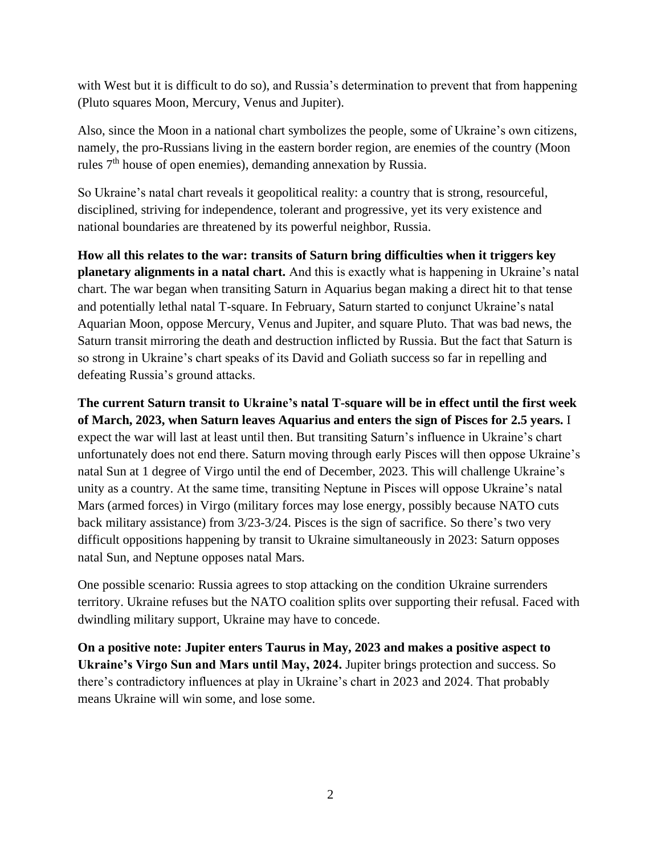with West but it is difficult to do so), and Russia's determination to prevent that from happening (Pluto squares Moon, Mercury, Venus and Jupiter).

Also, since the Moon in a national chart symbolizes the people, some of Ukraine's own citizens, namely, the pro-Russians living in the eastern border region, are enemies of the country (Moon rules  $7<sup>th</sup>$  house of open enemies), demanding annexation by Russia.

So Ukraine's natal chart reveals it geopolitical reality: a country that is strong, resourceful, disciplined, striving for independence, tolerant and progressive, yet its very existence and national boundaries are threatened by its powerful neighbor, Russia.

**How all this relates to the war: transits of Saturn bring difficulties when it triggers key planetary alignments in a natal chart.** And this is exactly what is happening in Ukraine's natal chart. The war began when transiting Saturn in Aquarius began making a direct hit to that tense and potentially lethal natal T-square. In February, Saturn started to conjunct Ukraine's natal Aquarian Moon, oppose Mercury, Venus and Jupiter, and square Pluto. That was bad news, the Saturn transit mirroring the death and destruction inflicted by Russia. But the fact that Saturn is so strong in Ukraine's chart speaks of its David and Goliath success so far in repelling and defeating Russia's ground attacks.

**The current Saturn transit to Ukraine's natal T-square will be in effect until the first week of March, 2023, when Saturn leaves Aquarius and enters the sign of Pisces for 2.5 years.** I expect the war will last at least until then. But transiting Saturn's influence in Ukraine's chart unfortunately does not end there. Saturn moving through early Pisces will then oppose Ukraine's natal Sun at 1 degree of Virgo until the end of December, 2023. This will challenge Ukraine's unity as a country. At the same time, transiting Neptune in Pisces will oppose Ukraine's natal Mars (armed forces) in Virgo (military forces may lose energy, possibly because NATO cuts back military assistance) from 3/23-3/24. Pisces is the sign of sacrifice. So there's two very difficult oppositions happening by transit to Ukraine simultaneously in 2023: Saturn opposes natal Sun, and Neptune opposes natal Mars.

One possible scenario: Russia agrees to stop attacking on the condition Ukraine surrenders territory. Ukraine refuses but the NATO coalition splits over supporting their refusal. Faced with dwindling military support, Ukraine may have to concede.

**On a positive note: Jupiter enters Taurus in May, 2023 and makes a positive aspect to Ukraine's Virgo Sun and Mars until May, 2024.** Jupiter brings protection and success. So there's contradictory influences at play in Ukraine's chart in 2023 and 2024. That probably means Ukraine will win some, and lose some.